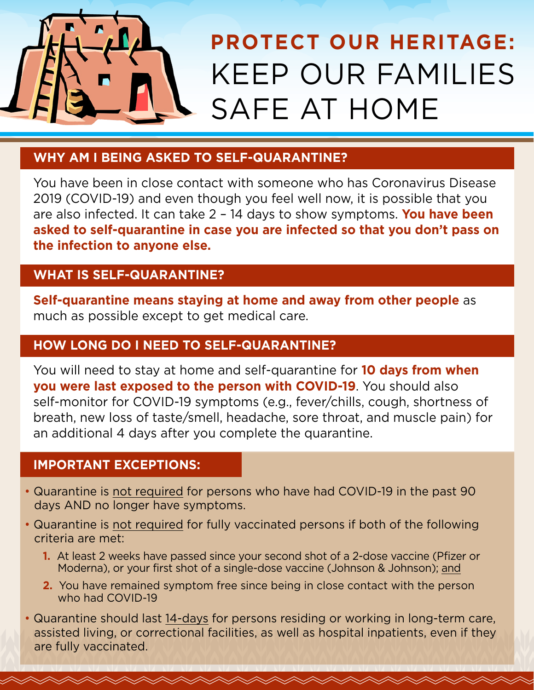

### **WHY AM I BEING ASKED TO SELF-QUARANTINE?**

You have been in close contact with someone who has Coronavirus Disease 2019 (COVID-19) and even though you feel well now, it is possible that you are also infected. It can take 2 – 14 days to show symptoms. **You have been asked to self-quarantine in case you are infected so that you don't pass on the infection to anyone else.**

#### **WHAT IS SELF-QUARANTINE?**

**Self-quarantine means staying at home and away from other people** as much as possible except to get medical care.

#### **HOW LONG DO I NEED TO SELF-QUARANTINE?**

You will need to stay at home and self-quarantine for **10 days from when you were last exposed to the person with COVID-19**. You should also self-monitor for COVID-19 symptoms (e.g., fever/chills, cough, shortness of breath, new loss of taste/smell, headache, sore throat, and muscle pain) for an additional 4 days after you complete the quarantine.

#### **IMPORTANT EXCEPTIONS:**

- Quarantine is not required for persons who have had COVID-19 in the past 90 days AND no longer have symptoms.
- Quarantine is not required for fully vaccinated persons if both of the following criteria are met:
	- **1.** At least 2 weeks have passed since your second shot of a 2-dose vaccine (Pfizer or Moderna), or your first shot of a single-dose vaccine (Johnson & Johnson); and
	- **2.** You have remained symptom free since being in close contact with the person who had COVID-19
- Quarantine should last 14-days for persons residing or working in long-term care, assisted living, or correctional facilities, as well as hospital inpatients, even if they are fully vaccinated.